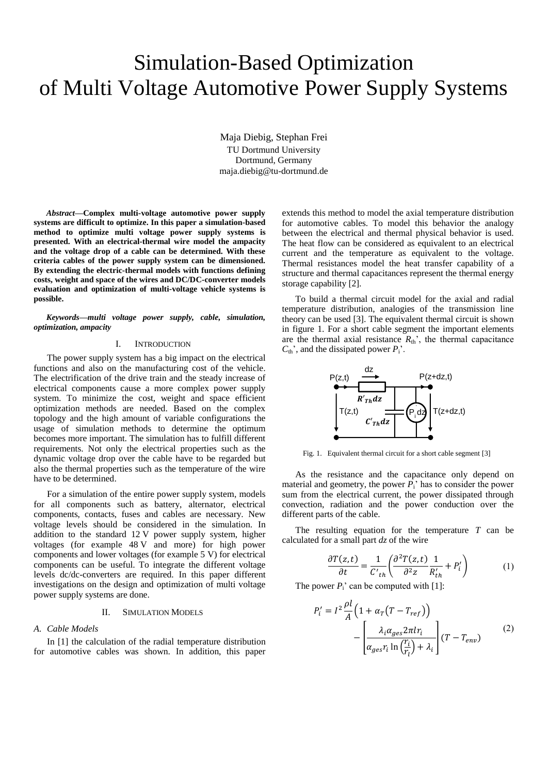# Simulation-Based Optimization of Multi Voltage Automotive Power Supply Systems

Maja Diebig, Stephan Frei TU Dortmund University Dortmund, Germany maja.diebig@tu-dortmund.de

*Abstract***—Complex multi-voltage automotive power supply systems are difficult to optimize. In this paper a simulation-based method to optimize multi voltage power supply systems is presented. With an electrical-thermal wire model the ampacity and the voltage drop of a cable can be determined. With these criteria cables of the power supply system can be dimensioned. By extending the electric-thermal models with functions defining costs, weight and space of the wires and DC/DC-converter models evaluation and optimization of multi-voltage vehicle systems is possible.** 

*Keywords—multi voltage power supply, cable, simulation, optimization, ampacity*

#### I. INTRODUCTION

The power supply system has a big impact on the electrical functions and also on the manufacturing cost of the vehicle. The electrification of the drive train and the steady increase of electrical components cause a more complex power supply system. To minimize the cost, weight and space efficient optimization methods are needed. Based on the complex topology and the high amount of variable configurations the usage of simulation methods to determine the optimum becomes more important. The simulation has to fulfill different requirements. Not only the electrical properties such as the dynamic voltage drop over the cable have to be regarded but also the thermal properties such as the temperature of the wire have to be determined.

For a simulation of the entire power supply system, models for all components such as battery, alternator, electrical components, contacts, fuses and cables are necessary. New voltage levels should be considered in the simulation. In addition to the standard 12 V power supply system, higher voltages (for example 48 V and more) for high power components and lower voltages (for example 5 V) for electrical components can be useful. To integrate the different voltage levels dc/dc-converters are required. In this paper different investigations on the design and optimization of multi voltage power supply systems are done.

# II. SIMULATION MODELS

# <span id="page-0-0"></span>*A. Cable Models*

In [1] the calculation of the radial temperature distribution for automotive cables was shown. In addition, this paper

extends this method to model the axial temperature distribution for automotive cables. To model this behavior the analogy between the electrical and thermal physical behavior is used. The heat flow can be considered as equivalent to an electrical current and the temperature as equivalent to the voltage. Thermal resistances model the heat transfer capability of a structure and thermal capacitances represent the thermal energy storage capability [2].

To build a thermal circuit model for the axial and radial temperature distribution, analogies of the transmission line theory can be used [3]. The equivalent thermal circuit is shown in figure 1. For a short cable segment the important elements are the thermal axial resistance  $R_{th}$ <sup>2</sup>, the thermal capacitance  $C_{\text{th}}$ <sup>'</sup>, and the dissipated power  $P_i$ <sup>'</sup>.



Fig. 1. Equivalent thermal circuit for a short cable segment [3]

As the resistance and the capacitance only depend on material and geometry, the power  $P_i$ <sup>t</sup> has to consider the power sum from the electrical current, the power dissipated through convection, radiation and the power conduction over the different parts of the cable.

The resulting equation for the temperature *T* can be calculated for a small part *dz* of the wire

$$
\frac{\partial T(z,t)}{\partial t} = \frac{1}{C'_{th}} \left( \frac{\partial^2 T(z,t)}{\partial^2 z} \frac{1}{R'_{th}} + P'_i \right)
$$
(1)

The power  $P_i'$  can be computed with [1]:

$$
P'_{i} = I^{2} \frac{\rho l}{A} \Big( 1 + \alpha_{T} (T - T_{ref}) \Big) - \Bigg[ \frac{\lambda_{i} \alpha_{ges} 2\pi l r_{i}}{\alpha_{ges} r_{i} \ln \left( \frac{r_{i}}{r_{i}} \right) + \lambda_{i}} \Bigg] (T - T_{env}) \tag{2}
$$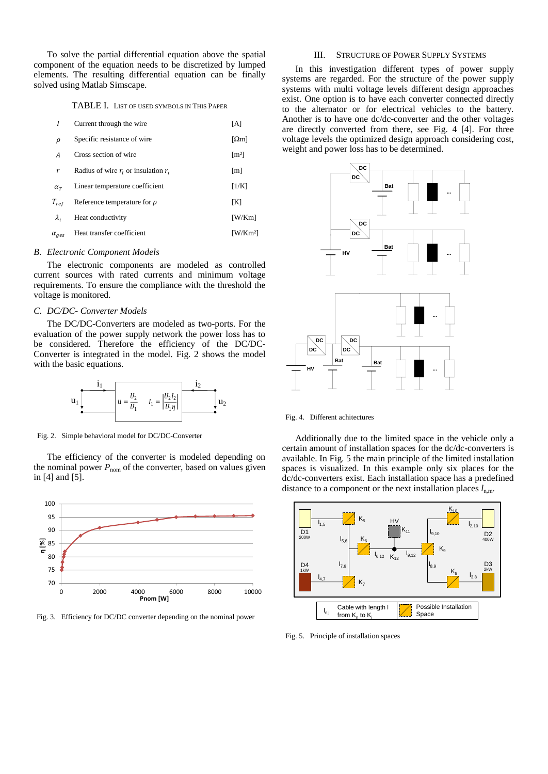To solve the partial differential equation above the spatial component of the equation needs to be discretized by lumped elements. The resulting differential equation can be finally solved using Matlab Simscape.

TABLE I. LIST OF USED SYMBOLS IN THIS PAPER

|                | Current through the wire                 | [A]                            |
|----------------|------------------------------------------|--------------------------------|
| ρ              | Specific resistance of wire              | $\lceil \Omega_{\rm m} \rceil$ |
| A              | Cross section of wire                    | $\lceil m^2 \rceil$            |
| r              | Radius of wire $r_i$ or insulation $r_i$ | [m]                            |
| $\alpha_r$     | Linear temperature coefficient           | [1/K]                          |
| $T_{ref}$      | Reference temperature for $\rho$         | [K]                            |
| $\lambda_i$    | Heat conductivity                        | [W/Km]                         |
| $\alpha_{aes}$ | Heat transfer coefficient                | [W/Km <sup>2</sup> ]           |

#### *B. Electronic Component Models*

The electronic components are modeled as controlled current sources with rated currents and minimum voltage requirements. To ensure the compliance with the threshold the voltage is monitored.

#### *C. DC/DC- Converter Models*

The DC/DC-Converters are modeled as two-ports. For the evaluation of the power supply network the power loss has to be considered. Therefore the efficiency of the DC/DC-Converter is integrated in the model. [Fig. 2](#page-1-0) shows the model with the basic equations.



<span id="page-1-0"></span>Fig. 2. Simple behavioral model for DC/DC-Converter

The efficiency of the converter is modeled depending on the nominal power  $P_{nom}$  of the converter, based on values given in [4] and [5].



Fig. 3. Efficiency for DC/DC converter depending on the nominal power

# III. STRUCTURE OF POWER SUPPLY SYSTEMS

In this investigation different types of power supply systems are regarded. For the structure of the power supply systems with multi voltage levels different design approaches exist. One option is to have each converter connected directly to the alternator or for electrical vehicles to the battery. Another is to have one dc/dc-converter and the other voltages are directly converted from there, see [Fig. 4](#page-1-1) [4]. For three voltage levels the optimized design approach considering cost, weight and power loss has to be determined.



<span id="page-1-1"></span>Fig. 4. Different achitectures

Additionally due to the limited space in the vehicle only a certain amount of installation spaces for the dc/dc-converters is available. In [Fig. 5](#page-1-2) the main principle of the limited installation spaces is visualized. In this example only six places for the dc/dc-converters exist. Each installation space has a predefined distance to a component or the next installation places  $l_{n,m}$ .



<span id="page-1-2"></span>Fig. 5. Principle of installation spaces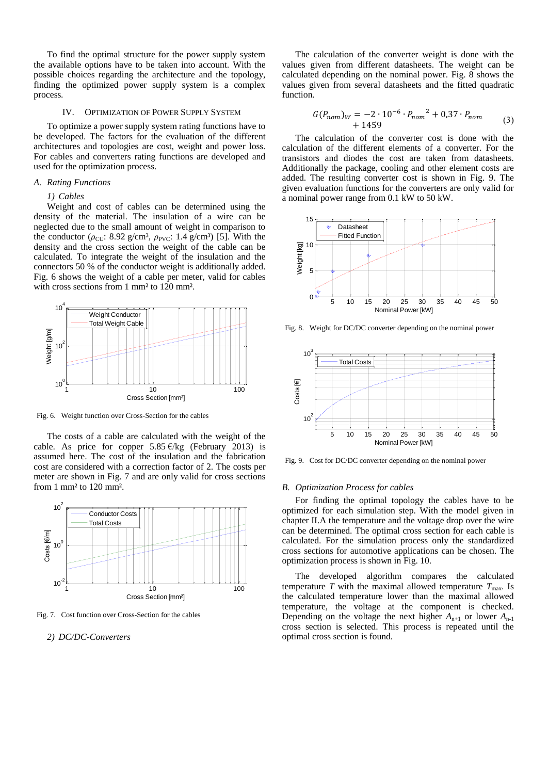To find the optimal structure for the power supply system the available options have to be taken into account. With the possible choices regarding the architecture and the topology, finding the optimized power supply system is a complex process.

#### IV. OPTIMIZATION OF POWER SUPPLY SYSTEM

To optimize a power supply system rating functions have to be developed. The factors for the evaluation of the different architectures and topologies are cost, weight and power loss. For cables and converters rating functions are developed and used for the optimization process.

#### *A. Rating Functions*

## *1) Cables*

Weight and cost of cables can be determined using the density of the material. The insulation of a wire can be neglected due to the small amount of weight in comparison to the conductor ( $\rho_{\text{CU}}$ : 8.92 g/cm<sup>3</sup>,  $\rho_{\text{PVC}}$ : 1.4 g/cm<sup>3</sup>) [5]. With the density and the cross section the weight of the cable can be calculated. To integrate the weight of the insulation and the connectors 50 % of the conductor weight is additionally added. [Fig. 6](#page-2-0) shows the weight of a cable per meter, valid for cables with cross sections from 1 mm² to 120 mm².



<span id="page-2-0"></span>Fig. 6. Weight function over Cross-Section for the cables

The costs of a cable are calculated with the weight of the cable. As price for copper 5.85  $\epsilon$ /kg (February 2013) is assumed here. The cost of the insulation and the fabrication cost are considered with a correction factor of 2. The costs per meter are shown in [Fig. 7](#page-2-1) and are only valid for cross sections from 1 mm² to 120 mm².



<span id="page-2-1"></span>Fig. 7. Cost function over Cross-Section for the cables

*2) DC/DC-Converters*

The calculation of the converter weight is done with the values given from different datasheets. The weight can be calculated depending on the nominal power. [Fig. 8](#page-2-2) shows the values given from several datasheets and the fitted quadratic function.

$$
G(P_{nom})_W = -2 \cdot 10^{-6} \cdot P_{nom}^2 + 0.37 \cdot P_{nom} \tag{3}
$$
  
+ 1459

The calculation of the converter cost is done with the calculation of the different elements of a converter. For the transistors and diodes the cost are taken from datasheets. Additionally the package, cooling and other element costs are added. The resulting converter cost is shown in [Fig. 9.](#page-2-3) The given evaluation functions for the converters are only valid for a nominal power range from 0.1 kW to 50 kW.



<span id="page-2-2"></span>Fig. 8. Weight for DC/DC converter depending on the nominal power



<span id="page-2-3"></span>Fig. 9. Cost for DC/DC converter depending on the nominal power

## *B. Optimization Process for cables*

For finding the optimal topology the cables have to be optimized for each simulation step. With the model given in chapter [II.A](#page-0-0) the temperature and the voltage drop over the wire can be determined. The optimal cross section for each cable is calculated. For the simulation process only the standardized cross sections for automotive applications can be chosen. The optimization process is shown i[n Fig. 10.](#page-3-0)

The developed algorithm compares the calculated temperature  $T$  with the maximal allowed temperature  $T_{\text{max}}$ . Is the calculated temperature lower than the maximal allowed temperature, the voltage at the component is checked. Depending on the voltage the next higher  $A_{n+1}$  or lower  $A_{n-1}$ cross section is selected. This process is repeated until the optimal cross section is found.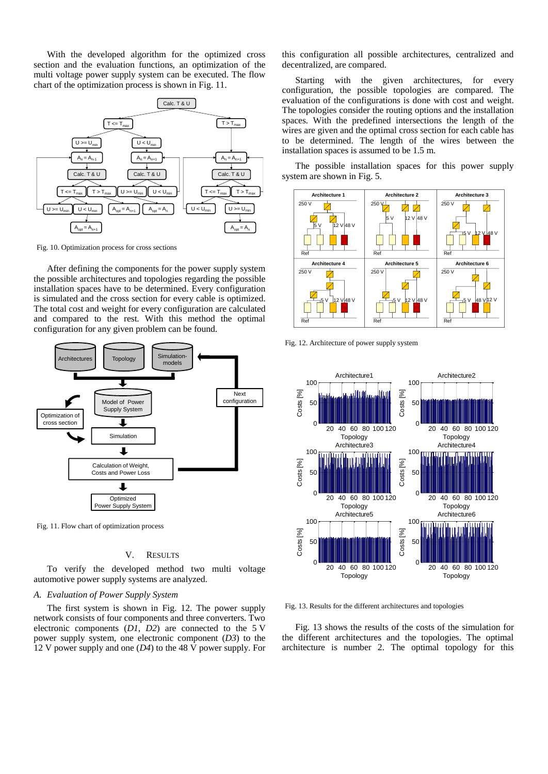With the developed algorithm for the optimized cross section and the evaluation functions, an optimization of the multi voltage power supply system can be executed. The flow chart of the optimization process is shown in [Fig. 11.](#page-3-1)



<span id="page-3-0"></span>Fig. 10. Optimization process for cross sections

After defining the components for the power supply system the possible architectures and topologies regarding the possible installation spaces have to be determined. Every configuration is simulated and the cross section for every cable is optimized. The total cost and weight for every configuration are calculated and compared to the rest. With this method the optimal configuration for any given problem can be found.



<span id="page-3-1"></span>Fig. 11. Flow chart of optimization process

## V. RESULTS

To verify the developed method two multi voltage automotive power supply systems are analyzed.

# *A. Evaluation of Power Supply System*

The first system is shown in [Fig. 12.](#page-3-2) The power supply network consists of four components and three converters. Two electronic components (*D1*, *D2*) are connected to the 5 V power supply system, one electronic component (*D3*) to the 12 V power supply and one (*D4*) to the 48 V power supply. For

this configuration all possible architectures, centralized and decentralized, are compared.

Starting with the given architectures, for every configuration, the possible topologies are compared. The evaluation of the configurations is done with cost and weight. The topologies consider the routing options and the installation spaces. With the predefined intersections the length of the wires are given and the optimal cross section for each cable has to be determined. The length of the wires between the installation spaces is assumed to be 1.5 m.

The possible installation spaces for this power supply system are shown i[n Fig. 5.](#page-1-2)



<span id="page-3-2"></span>Fig. 12. Architecture of power supply system



<span id="page-3-3"></span>Fig. 13. Results for the different architectures and topologies

[Fig. 13](#page-3-3) shows the results of the costs of the simulation for the different architectures and the topologies. The optimal architecture is number 2. The optimal topology for this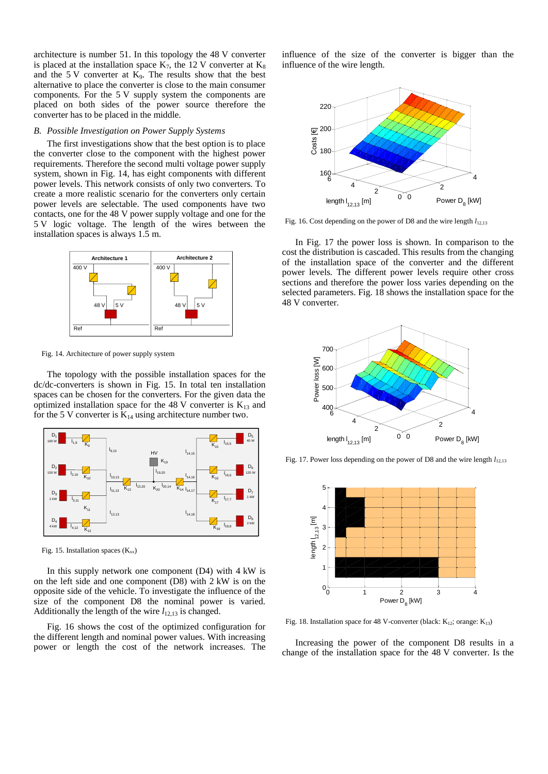architecture is number 51. In this topology the 48 V converter is placed at the installation space  $K_7$ , the 12 V converter at  $K_8$ and the 5 V converter at  $K_9$ . The results show that the best alternative to place the converter is close to the main consumer components. For the 5 V supply system the components are placed on both sides of the power source therefore the converter has to be placed in the middle.

## *B. Possible Investigation on Power Supply Systems*

The first investigations show that the best option is to place the converter close to the component with the highest power requirements. Therefore the second multi voltage power supply system, shown in [Fig. 14,](#page-4-0) has eight components with different power levels. This network consists of only two converters. To create a more realistic scenario for the converters only certain power levels are selectable. The used components have two contacts, one for the 48 V power supply voltage and one for the 5 V logic voltage. The length of the wires between the installation spaces is always 1.5 m.



<span id="page-4-0"></span>Fig. 14. Architecture of power supply system

The topology with the possible installation spaces for the dc/dc-converters is shown in [Fig. 15.](#page-4-1) In total ten installation spaces can be chosen for the converters. For the given data the optimized installation space for the 48 V converter is  $K_{13}$  and for the 5 V converter is  $K_{14}$  using architecture number two.



<span id="page-4-1"></span>Fig. 15. Installation spaces  $(K_{xx})$ 

In this supply network one component (D4) with 4 kW is on the left side and one component (D8) with 2 kW is on the opposite side of the vehicle. To investigate the influence of the size of the component D8 the nominal power is varied. Additionally the length of the wire  $l_{12,13}$  is changed.

[Fig. 16](#page-4-2) shows the cost of the optimized configuration for the different length and nominal power values. With increasing power or length the cost of the network increases. The

influence of the size of the converter is bigger than the influence of the wire length.



<span id="page-4-2"></span>Fig. 16. Cost depending on the power of D8 and the wire length  $l_{12,13}$ 

In [Fig. 17](#page-4-3) the power loss is shown. In comparison to the cost the distribution is cascaded. This results from the changing of the installation space of the converter and the different power levels. The different power levels require other cross sections and therefore the power loss varies depending on the selected parameters. [Fig. 18](#page-4-4) shows the installation space for the 48 V converter.



<span id="page-4-3"></span>Fig. 17. Power loss depending on the power of D8 and the wire length  $l_{12,13}$ 



<span id="page-4-4"></span>Fig. 18. Installation space for 48 V-converter (black:  $K_{12}$ ; orange:  $K_{13}$ )

Increasing the power of the component D8 results in a change of the installation space for the 48 V converter. Is the